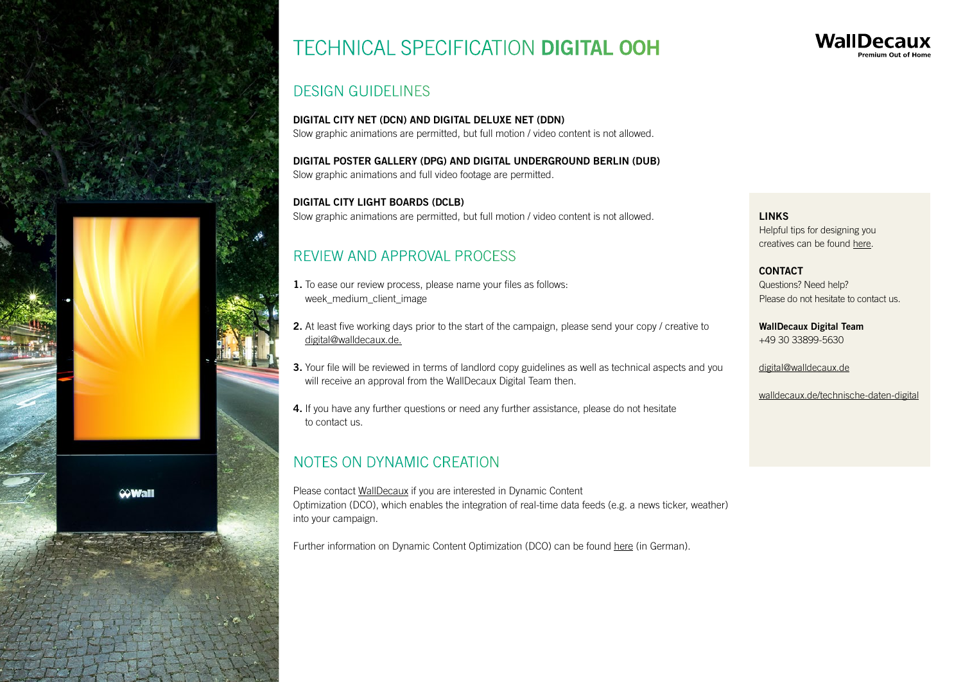

# TECHNICAL SPECIFICATION DIGITAL OOH

#### DESIGN GUIDELINES

DIGITAL CITY NET (DCN) AND DIGITAL DELUXE NET (DDN) Slow graphic animations are permitted, but full motion / video content is not allowed.

DIGITAL POSTER GALLERY (DPG) AND DIGITAL UNDERGROUND BERLIN (DUB) Slow graphic animations and full video footage are permitted.

DIGITAL CITY LIGHT BOARDS (DCLB) Slow graphic animations are permitted, but full motion / video content is not allowed.

### REVIEW AND APPROVAL PROCESS

- 1. To ease our review process, please name your files as follows: week\_medium\_client\_image
- 2. At least five working days prior to the start of the campaign, please send your copy / creative to digital@walldecaux.de.
- 3. Your file will be reviewed in terms of landlord copy guidelines as well as technical aspects and you will receive an approval from the WallDecaux Digital Team then.
- 4. If you have any further questions or need any further assistance, please do not hesitate to contact us.

### NOTES ON DYNAMIC CREATION

Please contact [WallDecaux](mailto:digital%40walldecaux.de?subject=) if you are interested in Dynamic Content Optimization (DCO), which enables the integration of real-time data feeds (e.g. a news ticker, weather) into your campaign.

Further information on Dynamic Content Optimization (DCO) can be found [her](https://www.walldecaux.de/dynamische-kampagnen)e (in German).



LINKS Helpful tips for designing you creatives can be found [her](https://www.walldecaux.de/digitale-gestaltungsregeln-0)e.

**CONTACT** Questions? Need help? Please do not hesitate to contact us.

WallDecaux Digital Team +49 30 33899-5630

digital@walldecaux.de

[walldecaux.de/technische-daten-digital](https://www.walldecaux.de/technische-daten-digital)